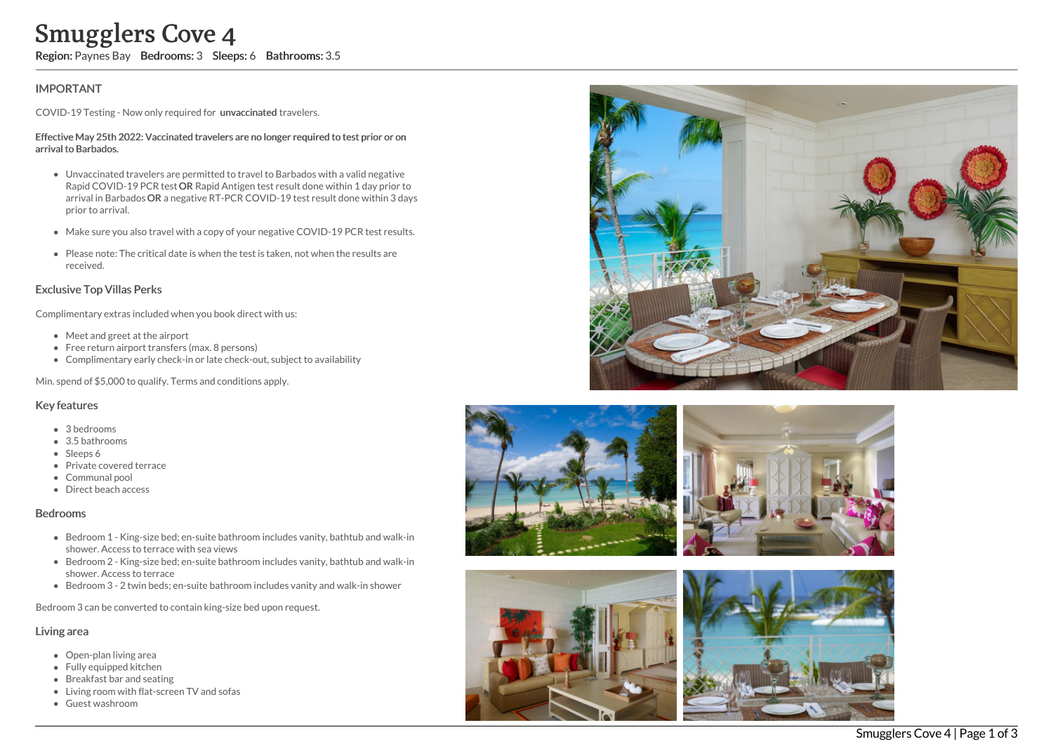## **IMPORTANT**

COVID-19 Testing - Now only required for unvaccinated travelers.

#### Effective May 25th 2022: Vaccinated travelers are no longer required to test prior or on arrival to Barbados.

- Unvaccinated travelers are permitted to travel to Barbados with a valid negative Rapid COVID-19 PCR test OR Rapid Antigen test result done within 1 day prior to arrival in Barbados OR a negative RT-PCR COVID-19 test result done within 3 days prior to arrival. Smugglers Cove 4<br>
Region: Paynes Bay Bedrooms: 3 Sleeps: 6 Bathrooms: 3.5<br>
IMPORTANT<br>
COVID-19 Testing - Now only required for unvaccinated travelers.<br>
Effective May 25th 2022: Vaccinated travelers are no longer required t
	- Make sure you also travel with a copy of your negative COVID-19 PCR test results.
	- Please note: The critical date is when the test is taken, not when the results are received.

### Exclusive Top Villas Perks

Complimentary extras included when you book direct with us:

- Meet and greet at the airport
- Free return airport transfers (max. 8 persons)
- Complimentary early check-in or late check-out, subject to availability

Min. spend of \$5,000 to qualify. Terms and conditions apply.

#### Key features

- 3 bedrooms
- 3.5 bathrooms
- Sleeps 6
- Private covered terrace
- Communal pool
- Direct beach access

#### Bedrooms

- Bedroom 1 King-size bed; en-suite bathroom includes vanity, bathtub and walk-in shower. Access to terrace with sea views
- Bedroom 2 King-size bed; en-suite bathroom includes vanity, bathtub and walk-in shower. Access to terrace
- Bedroom 3 2 twin beds; en-suite bathroom includes vanity and walk-in shower

Bedroom 3 can be converted to contain king-size bed upon request.

#### Living area

- Open-plan living area
- Fully equipped kitchen
- Breakfast bar and seating
- Living room with flat-screen TV and sofas
- 







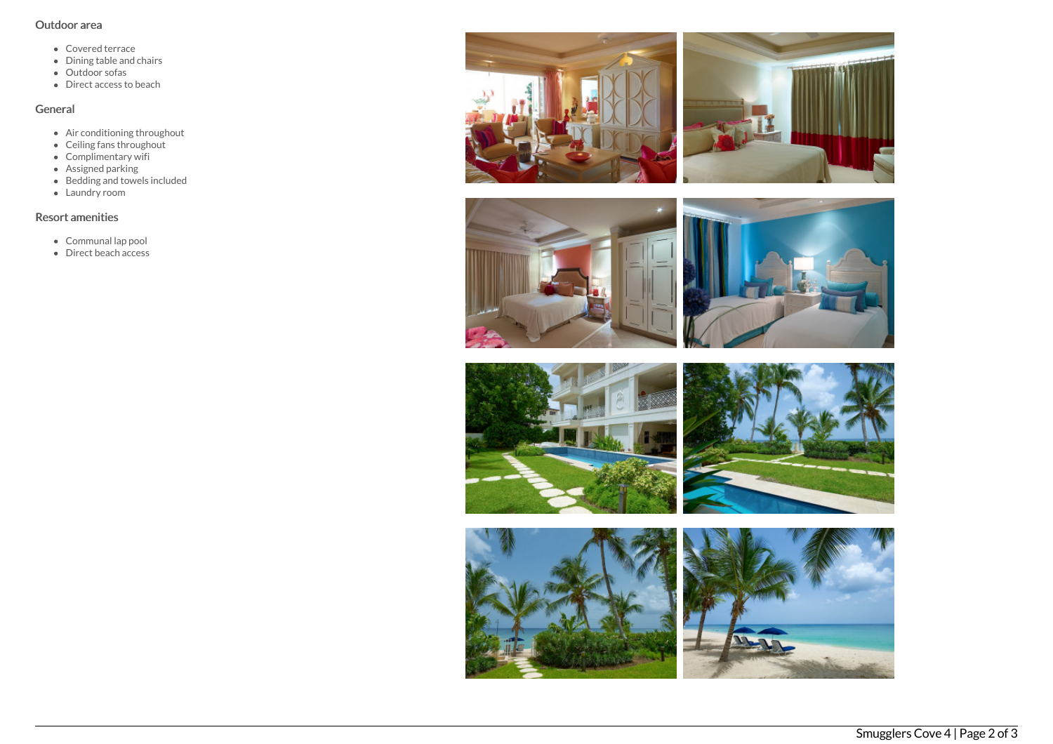## Outdoor area

- Covered terrace
- Dining table and chairs
- Outdoor sofas
- Direct access to beach

# General

- Air conditioning throughout
- Ceiling fans throughout
- Complimentary wifi
- Assigned parking
- Bedding and towels included
- Laundry room

# Resort amenities

- Communal lap pool
- Direct beach access